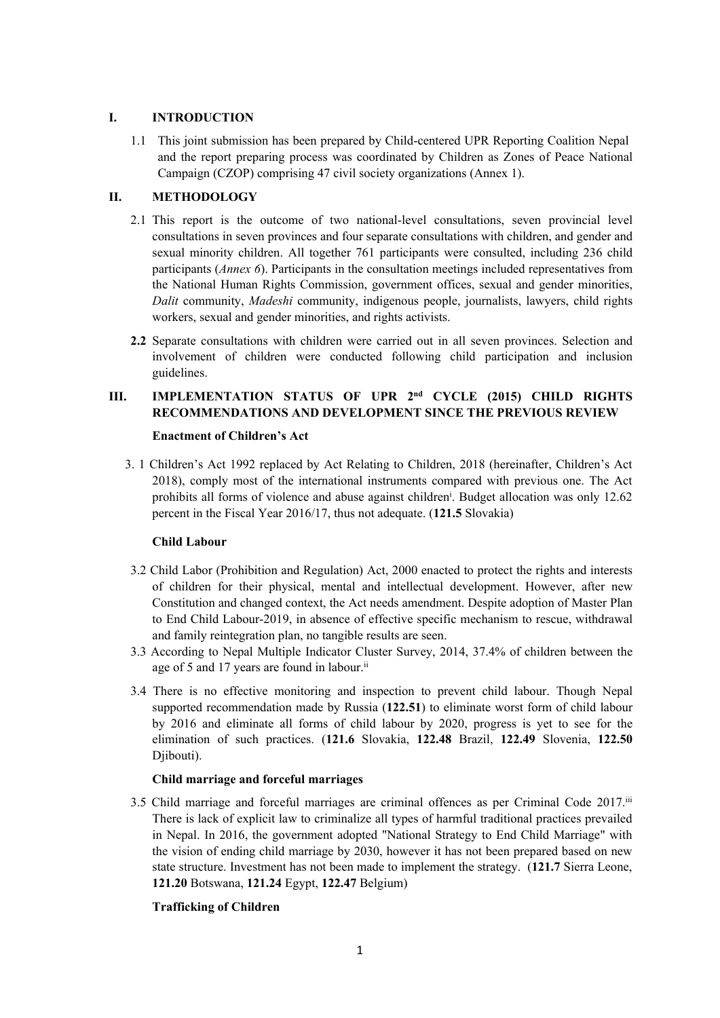# **I. INTRODUCTION**

1.1 This joint submission has been prepared by Child-centered UPR Reporting Coalition Nepal and the repor<sup>t</sup> preparing process was coordinated by Children as Zones of Peace National Campaign (CZOP) comprising 47 civil society organizations (Annex 1).

# **II. METHODOLOGY**

- 2.1 This repor<sup>t</sup> is the outcome of two national-level consultations, seven provincial level consultations in seven provinces and four separate consultations with children, and gender and sexual minority children. All together 761 participants were consulted, including 236 child participants (*Annex 6*). Participants in the consultation meetings included representatives from the National Human Rights Commission, governmen<sup>t</sup> offices, sexual and gender minorities, *Dalit* community, *Madeshi* community, indigenous people, journalists, lawyers, child rights workers, sexual and gender minorities, and rights activists.
- **2.2** Separate consultations with children were carried out in all seven provinces. Selection and involvement of children were conducted following child participation and inclusion guidelines.

# **III. IMPLEMENTATION STATUS OF UPR 2nd CYCLE (2015) CHILD RIGHTS RECOMMENDATIONS AND DEVELOPMENT SINCE THE PREVIOUS REVIEW**

## **Enactment of Children'<sup>s</sup> Act**

3. 1 Children'<sup>s</sup> Act 1992 replaced by Act Relating to Children, 2018 (hereinafter, Children'<sup>s</sup> Act 2018), comply most of the international instruments compared with previous one. The Act prohibits all forms of violence and abuse against children<sup>i</sup>. Budget allocation was only 12.62 percen<sup>t</sup> in the Fiscal Year 2016/17, thus not adequate. (**121.5** Slovakia)

# **Child Labour**

- 3.2 Child Labor (Prohibition and Regulation) Act, 2000 enacted to protect the rights and interests of children for their physical, mental and intellectual development. However, after new Constitution and changed context, the Act needs amendment. Despite adoption of Master Plan to End Child Labour-2019, in absence of effective specific mechanism to rescue, withdrawal and family reintegration plan, no tangible results are seen.
- 3.3 According to Nepal Multiple Indicator Cluster Survey, 2014, 37.4% of children between the age of 5 and 17 years are found in labour.<sup>ii</sup>
- 3.4 There is no effective monitoring and inspection to preven<sup>t</sup> child labour. Though Nepal supported recommendation made by Russia (**122.51**) to eliminate worst form of child labour by 2016 and eliminate all forms of child labour by 2020, progress is ye<sup>t</sup> to see for the elimination of such practices. (**121.6** Slovakia, **122.48** Brazil, **122.49** Slovenia, **122.50** Djibouti).

# **Child marriage and forceful marriages**

3.5 Child marriage and forceful marriages are criminal offences as per Criminal Code 2017. iii There is lack of explicit law to criminalize all types of harmful traditional practices prevailed in Nepal. In 2016, the governmen<sup>t</sup> adopted "National Strategy to End Child Marriage" with the vision of ending child marriage by 2030, however it has not been prepared based on new state structure. Investment has not been made to implement the strategy. (**121.7** Sierra Leone, **121.20** Botswana, **121.24** Egypt, **122.47** Belgium)

# **Trafficking of Children**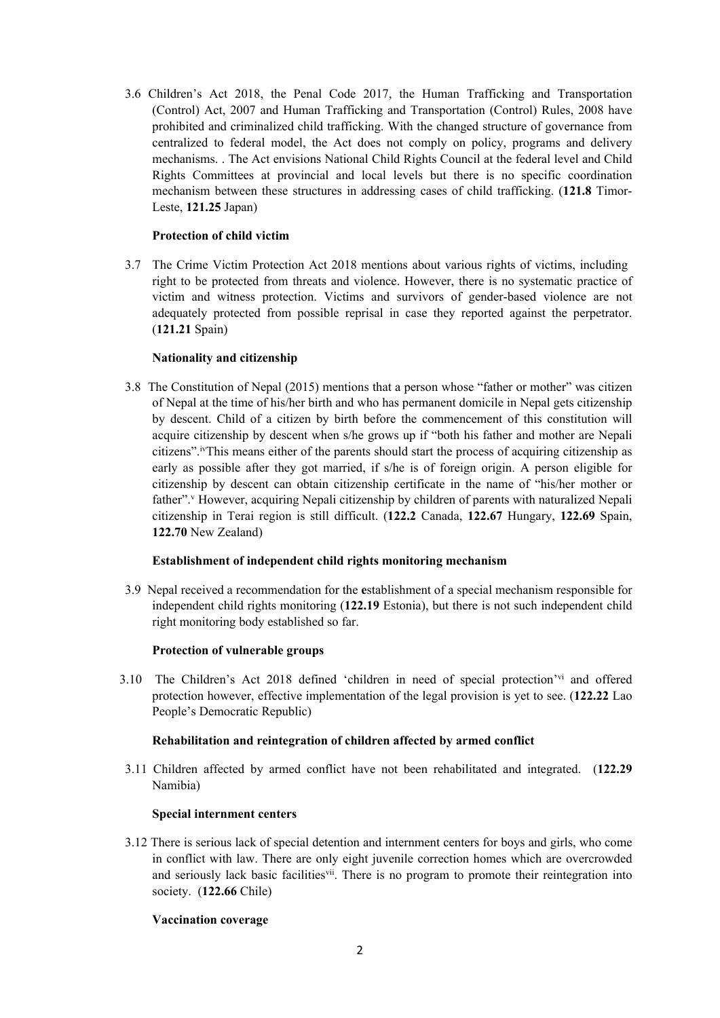3.6 Children'<sup>s</sup> Act 2018, the Penal Code 2017, the Human Trafficking and Transportation (Control) Act, 2007 and Human Trafficking and [Transportation](http://www.lawcommission.gov.np/en/documents/2015/08/human-trafficking-and-transportation-control-rules-2065-2008.pdf) (Control) Rules, 2008 have prohibited and criminalized child trafficking. With the changed structure of governance from centralized to federal model, the Act does not comply on policy, programs and delivery mechanisms. . The Act envisions National Child Rights Council at the federal level and Child Rights Committees at provincial and local levels but there is no specific coordination mechanism between these structures in addressing cases of child trafficking. (**121.8** Timor-Leste, **121.25** Japan)

## **Protection of child victim**

3.7 The Crime Victim Protection Act 2018 mentions about various rights of victims, including right to be protected from threats and violence. However, there is no systematic practice of victim and witness protection. Victims and survivors of gender-based violence are not adequately protected from possible reprisal in case they reported against the perpetrator. (**121.21** Spain)

# **Nationality and citizenship**

3.8 The Constitution of Nepal (2015) mentions that <sup>a</sup> person whose "father or mother" was citizen of Nepal at the time of his/her birth and who has permanen<sup>t</sup> domicile in Nepal gets citizenship by descent. Child of <sup>a</sup> citizen by birth before the commencement of this constitution will acquire citizenship by descent when s/he grows up if "both his father and mother are Nepali citizens". iv This means either of the parents should start the process of acquiring citizenship as early as possible after they go<sup>t</sup> married, if s/he is of foreign origin. A person eligible for citizenship by descent can obtain citizenship certificate in the name of "his/her mother or father". <sup>v</sup> However, acquiring Nepali citizenship by children of parents with naturalized Nepali citizenship in Terai region is still difficult. (**122.2** Canada, **122.67** Hungary, **122.69** Spain, **122.70** New Zealand)

# **Establishment of independent child rights monitoring mechanism**

3.9 Nepal received <sup>a</sup> recommendation for the **<sup>e</sup>**stablishment of <sup>a</sup> special mechanism responsible for independent child rights monitoring (**122.19** Estonia), but there is not such independent child right monitoring body established so far.

### **Protection of vulnerable groups**

3.10 The Children's Act 2018 defined 'children in need of special protection'<sup>vi</sup> and offered protection however, effective implementation of the legal provision is ye<sup>t</sup> to see. (**122.22** Lao People'<sup>s</sup> Democratic Republic)

### **Rehabilitation and reintegration of children affected by armed conflict**

3.11 Children affected by armed conflict have not been rehabilitated and integrated. (**122.29** Namibia)

### **Special internment centers**

3.12 There is serious lack of special detention and internment centers for boys and girls, who come in conflict with law. There are only eight juvenile correction homes which are overcrowded and seriously lack basic facilities<sup>vii</sup>. There is no program to promote their reintegration into society. (**122.66** Chile)

### **Vaccination coverage**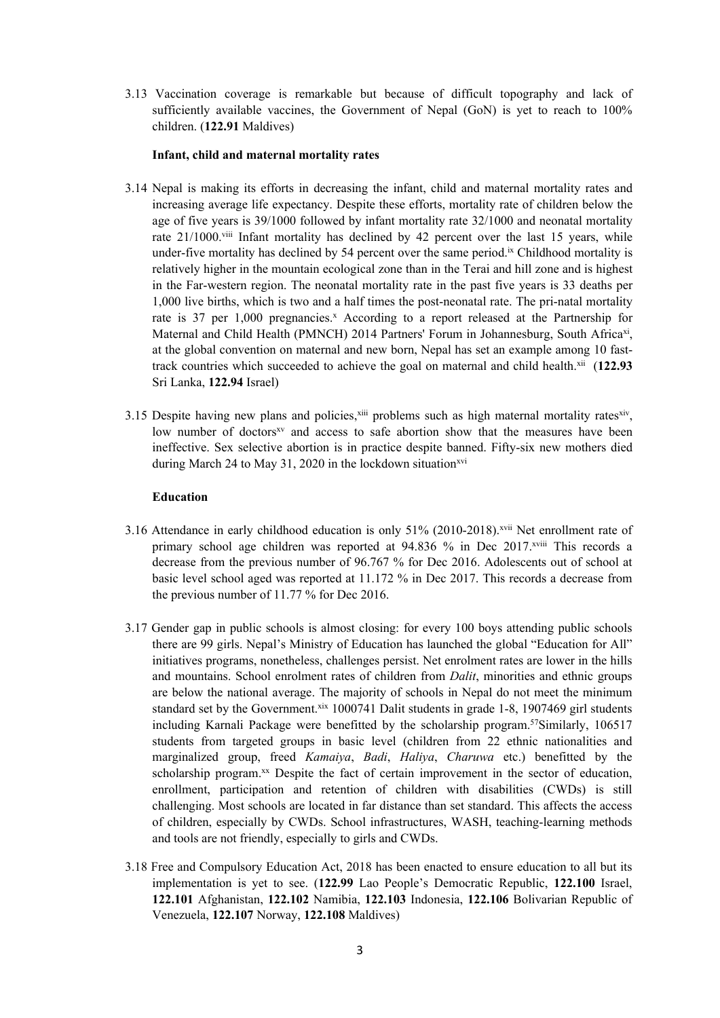3.13 Vaccination coverage is remarkable but because of difficult topography and lack of sufficiently available vaccines, the Government of Nepal (GoN) is yet to reach to  $100\%$ children. (**122.91** Maldives)

### **Infant, child and maternal mortality rates**

- 3.14 Nepal is making its efforts in decreasing the infant, child and maternal mortality rates and increasing average life expectancy. Despite these efforts, mortality rate of children below the age of five years is 39/1000 followed by infant mortality rate 32/1000 and neonatal mortality rate 21/1000.<sup>viii</sup> Infant mortality has declined by 42 percent over the last 15 years, while under-five mortality has declined by 54 percent over the same period.<sup>ix</sup> Childhood mortality is relatively higher in the mountain ecological zone than in the Terai and hill zone and is highest in the Far-western region. The neonatal mortality rate in the pas<sup>t</sup> five years is 33 deaths per 1,000 live births, which is two and <sup>a</sup> half times the post-neonatal rate. The pri-natal mortality rate is 37 per 1,000 pregnancies. <sup>x</sup> According to <sup>a</sup> repor<sup>t</sup> released at the Partnership for Maternal and Child Health (PMNCH) 2014 Partners' Forum in Johannesburg, South Africa<sup>xi</sup>, at the global convention on maternal and new born, Nepal has set an example among 10 fasttrack countries which succeeded to achieve the goal on maternal and child health.<sup>xii</sup> (122.93 Sri Lanka, **122.94** Israel)
- 3.15 Despite having new plans and policies,  $x^{iii}$  problems such as high maternal mortality rates  $x^{iv}$ , low number of doctors<sup>xy</sup> and access to safe abortion show that the measures have been ineffective. Sex selective abortion is in practice despite banned. Fifty-six new mothers died during March 24 to May 31, 2020 in the lockdown situation $x^{x}$

## **Education**

- 3.16 Attendance in early childhood education is only 51% (2010-2018). xvii Net enrollment rate of primary school age children was reported at 94.836 % in Dec 2017.<sup>xviii</sup> This records a decrease from the previous number of 96.767 % for Dec 2016. Adolescents out of school at basic level school aged was reported at 11.172 % in Dec 2017. This records <sup>a</sup> decrease from the previous number of 11.77 % for Dec 2016.
- 3.17 Gender gap in public schools is almost closing: for every 100 boys attending public schools there are 99 girls. Nepal'<sup>s</sup> Ministry of Education has launched the global "Education for All" initiatives programs, nonetheless, challenges persist. Net enrolment rates are lower in the hills and mountains. School enrolment rates of children from *Dalit*, minorities and ethnic groups are below the national average. The majority of schools in Nepal do not meet the minimum standard set by the Government.<sup>xix</sup> 1000741 Dalit students in grade 1-8, 1907469 girl students including Karnali Package were benefitted by the scholarship program. 57 Similarly, 106517 students from targeted groups in basic level (children from 22 ethnic nationalities and marginalized group, freed *Kamaiya*, *Badi*, *Haliya*, *Charuwa* etc.) benefitted by the scholarship program. xx Despite the fact of certain improvement in the sector of education, enrollment, participation and retention of children with disabilities (CWDs) is still challenging. Most schools are located in far distance than set standard. This affects the access of children, especially by CWDs. School infrastructures, WASH, teaching-learning methods and tools are not friendly, especially to girls and CWDs.
- 3.18 Free and Compulsory Education Act, 2018 has been enacted to ensure education to all but its implementation is ye<sup>t</sup> to see. (**122.99** Lao People'<sup>s</sup> Democratic Republic, **122.100** Israel, **122.101** Afghanistan, **122.102** Namibia, **122.103** Indonesia, **122.106** Bolivarian Republic of Venezuela, **122.107** Norway, **122.108** Maldives)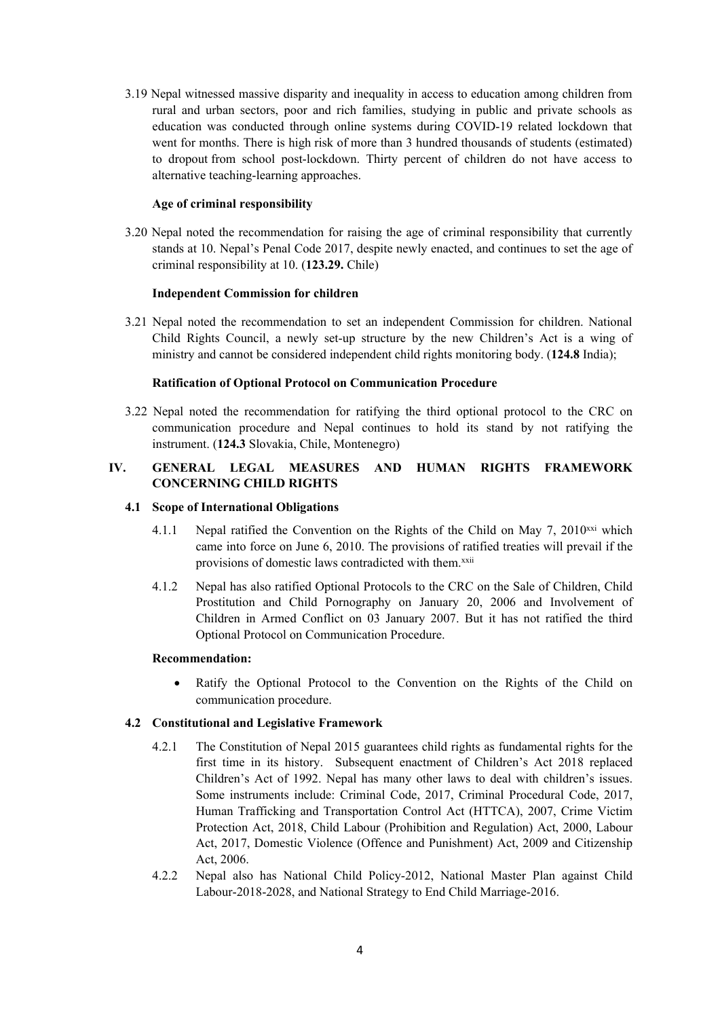3.19 Nepal witnessed massive disparity and inequality in access to education among children from rural and urban sectors, poor and rich families, studying in public and private schools as education was conducted through online systems during COVID-19 related lockdown that went for months. There is high risk of more than 3 hundred thousands of students (estimated) to dropout from school post-lockdown. Thirty percen<sup>t</sup> of children do not have access to alternative teaching-learning approaches.

# **Age of criminal responsibility**

3.20 Nepal noted the recommendation for raising the age of criminal responsibility that currently stands at 10. Nepal'<sup>s</sup> Penal Code 2017, despite newly enacted, and continues to set the age of criminal responsibility at 10. (**123.29.** Chile)

# **Independent Commission for children**

3.21 Nepal noted the recommendation to set an independent Commission for children. National Child Rights Council, <sup>a</sup> newly set-up structure by the new Children'<sup>s</sup> Act is <sup>a</sup> wing of ministry and cannot be considered independent child rights monitoring body. (**124.8** India);

## **Ratification of Optional Protocol on Communication Procedure**

3.22 Nepal noted the recommendation for ratifying the third optional protocol to the CRC on communication procedure and Nepal continues to hold its stand by not ratifying the instrument. (**124.3** Slovakia, Chile, Montenegro)

# **IV. GENERAL LEGAL MEASURES AND HUMAN RIGHTS FRAMEWORK CONCERNING CHILD RIGHTS**

## **4.1 Scope of International Obligations**

- 4.1.1 Nepal ratified the Convention on the Rights of the Child on May 7, 2010<sup>xxi</sup> which came into force on June 6, 2010. The provisions of ratified treaties will prevail if the provisions of domestic laws contradicted with them.<sup>xxii</sup>
- 4.1.2 Nepal has also ratified Optional Protocols to the CRC on the Sale of Children, Child Prostitution and Child Pornography on January 20, 2006 and Involvement of Children in Armed Conflict on 03 January 2007. But it has not ratified the third Optional Protocol on Communication Procedure.

### **Recommendation:**

0 Ratify the Optional Protocol to the Convention on the Rights of the Child on communication procedure.

# **4.2 Constitutional and Legislative Framework**

- 4.2.1 The Constitution of Nepal 2015 guarantees child rights as fundamental rights for the first time in its history. Subsequent enactment of Children'<sup>s</sup> Act 2018 replaced Children'<sup>s</sup> Act of 1992. Nepal has many other laws to deal with children'<sup>s</sup> issues. Some instruments include: Criminal Code, 2017, Criminal Procedural Code, 2017, Human Trafficking and Transportation Control Act (HTTCA), 2007, Crime Victim Protection Act, 2018, Child Labour (Prohibition and Regulation) Act, 2000, Labour Act, 2017, Domestic Violence (Offence and Punishment) Act, 2009 and Citizenship Act, 2006.
- 4.2.2 Nepal also has National Child Policy-2012, National Master Plan against Child Labour-2018-2028, and National Strategy to End Child Marriage-2016.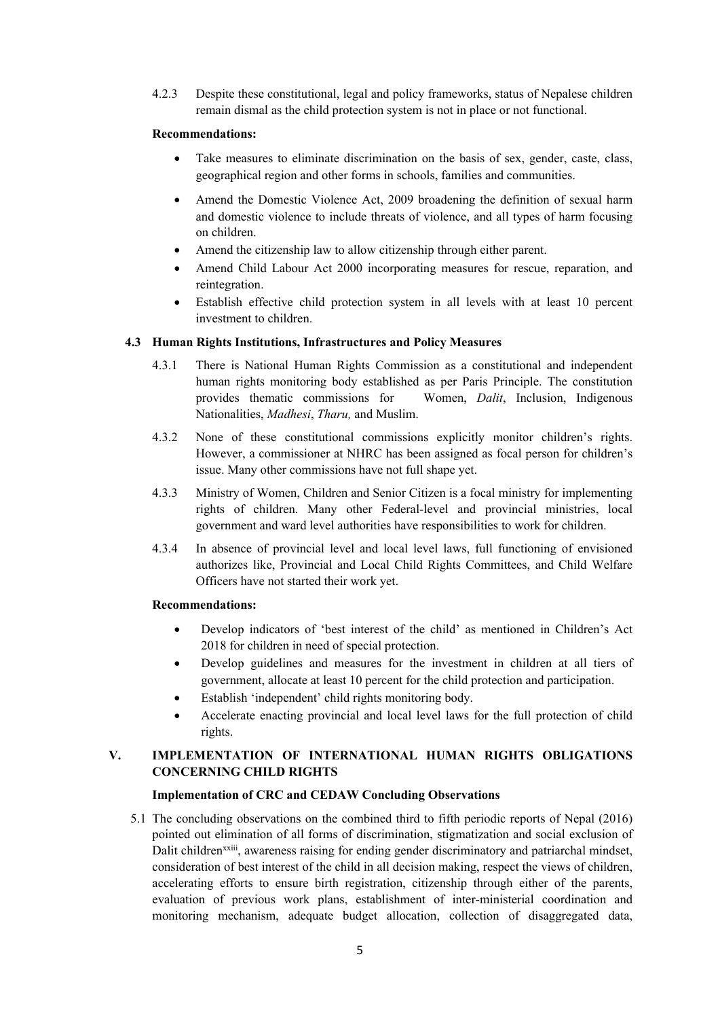4.2.3 Despite these constitutional, legal and policy frameworks, status of Nepalese children remain dismal as the child protection system is not in place or not functional.

## **Recommendations:**

- 0 Take measures to eliminate discrimination on the basis of sex, gender, caste, class, geographical region and other forms in schools, families and communities.
- 0 Amend the Domestic Violence Act, 2009 broadening the definition of sexual harm and domestic violence to include threats of violence, and all types of harm focusing on children.
- 0 Amend the citizenship law to allow citizenship through either parent.
- 0 Amend Child Labour Act 2000 incorporating measures for rescue, reparation, and reintegration.
- 0 Establish effective child protection system in all levels with at least 10 percen<sup>t</sup> investment to children.

## **4.3 Human Rights Institutions, Infrastructures and Policy Measures**

- 4.3.1 There is National Human Rights Commission as <sup>a</sup> constitutional and independent human rights monitoring body established as per Paris Principle. The constitution provides thematic commissions for Women, *Dalit*, Inclusion, Indigenous Nationalities, *Madhesi*, *Tharu,* and Muslim.
- 4.3.2 None of these constitutional commissions explicitly monitor children'<sup>s</sup> rights. However, <sup>a</sup> commissioner at NHRC has been assigned as focal person for children'<sup>s</sup> issue. Many other commissions have not full shape yet.
- 4.3.3 Ministry of Women, Children and Senior Citizen is <sup>a</sup> focal ministry for implementing rights of children. Many other Federal-level and provincial ministries, local governmen<sup>t</sup> and ward level authorities have responsibilities to work for children.
- 4.3.4 In absence of provincial level and local level laws, full functioning of envisioned authorizes like, Provincial and Local Child Rights Committees, and Child Welfare Officers have not started their work yet.

## **Recommendations:**

- 0 Develop indicators of 'best interest of the child' as mentioned in Children'<sup>s</sup> Act 2018 for children in need of special protection.
- 0 Develop guidelines and measures for the investment in children at all tiers of government, allocate at least 10 percen<sup>t</sup> for the child protection and participation.
- 0 Establish 'independent' child rights monitoring body.
- 0 Accelerate enacting provincial and local level laws for the full protection of child rights.

# **V. IMPLEMENTATION OF INTERNATIONAL HUMAN RIGHTS OBLIGATIONS CONCERNING CHILD RIGHTS**

# **Implementation of CRC and CEDAW Concluding Observations**

5.1 The concluding observations on the combined third to fifth periodic reports of Nepal (2016) pointed out elimination of all forms of discrimination, stigmatization and social exclusion of Dalit children<sup>xxiii</sup>, awareness raising for ending gender discriminatory and patriarchal mindset, consideration of best interest of the child in all decision making, respec<sup>t</sup> the views of children, accelerating efforts to ensure birth registration, citizenship through either of the parents, evaluation of previous work plans, establishment of inter-ministerial coordination and monitoring mechanism, adequate budget allocation, collection of disaggregated data,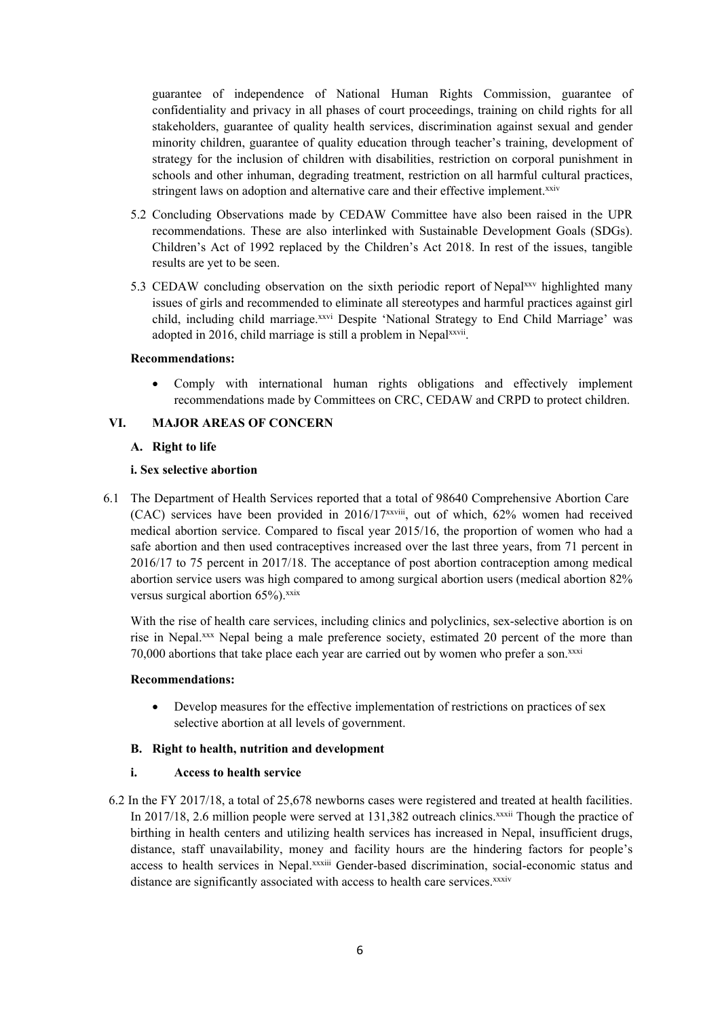guarantee of independence of National Human Rights Commission, guarantee of confidentiality and privacy in all phases of court proceedings, training on child rights for all stakeholders, guarantee of quality health services, discrimination against sexual and gender minority children, guarantee of quality education through teacher'<sup>s</sup> training, development of strategy for the inclusion of children with disabilities, restriction on corporal punishment in schools and other inhuman, degrading treatment, restriction on all harmful cultural practices, stringent laws on adoption and alternative care and their effective implement.<sup>xxiv</sup>

- 5.2 Concluding Observations made by CEDAW Committee have also been raised in the UPR recommendations. These are also interlinked with Sustainable Development Goals (SDGs). Children'<sup>s</sup> Act of 1992 replaced by the Children'<sup>s</sup> Act 2018. In rest of the issues, tangible results are ye<sup>t</sup> to be seen.
- 5.3 CEDAW concluding observation on the sixth periodic report of Nepalxxy highlighted many issues of girls and recommended to eliminate all stereotypes and harmful practices against girl child, including child marriage.<sup>xxvi</sup> Despite 'National Strategy to End Child Marriage' was adopted in 2016, child marriage is still a problem in Nepalxxvii.

#### **Recommendations:**

0 Comply with international human rights obligations and effectively implement recommendations made by Committees on CRC, CEDAW and CRPD to protect children.

### **VI. MAJOR AREAS OF CONCERN**

### **A. Right to life**

#### **i. Sex selective abortion**

6.1 The Department of Health Services reported that <sup>a</sup> total of 98640 Comprehensive Abortion Care (CAC) services have been provided in  $2016/17^{xxviii}$ , out of which, 62% women had received medical abortion service. Compared to fiscal year 2015/16, the proportion of women who had <sup>a</sup> safe abortion and then used contraceptives increased over the last three years, from 71 percen<sup>t</sup> in 2016/17 to 75 percen<sup>t</sup> in 2017/18. The acceptance of pos<sup>t</sup> abortion contraception among medical abortion service users was high compared to among surgical abortion users (medical abortion 82% versus surgical abortion 65%).<sup>xxix</sup>

With the rise of health care services, including clinics and polyclinics, sex-selective abortion is on rise in Nepal. xxx Nepal being <sup>a</sup> male preference society, estimated 20 percen<sup>t</sup> of the more than 70,000 abortions that take place each year are carried out by women who prefer a son.xxxi

### **Recommendations:**

 $\bullet$  Develop measures for the effective implementation of restrictions on practices of sex selective abortion at all levels of government.

#### **B. Right to health, nutrition and development**

### **i. Access to health service**

6.2 In the FY 2017/18, <sup>a</sup> total of 25,678 newborns cases were registered and treated at health facilities. In 2017/18, 2.6 million people were served at 131,382 outreach clinics.<sup>xxxii</sup> Though the practice of birthing in health centers and utilizing health services has increased in Nepal, insufficient drugs, distance, staff unavailability, money and facility hours are the hindering factors for people'<sup>s</sup> access to health services in Nepal.<sup>xxxiii</sup> Gender-based discrimination, social-economic status and distance are significantly associated with access to health care services.<sup>xxxiv</sup>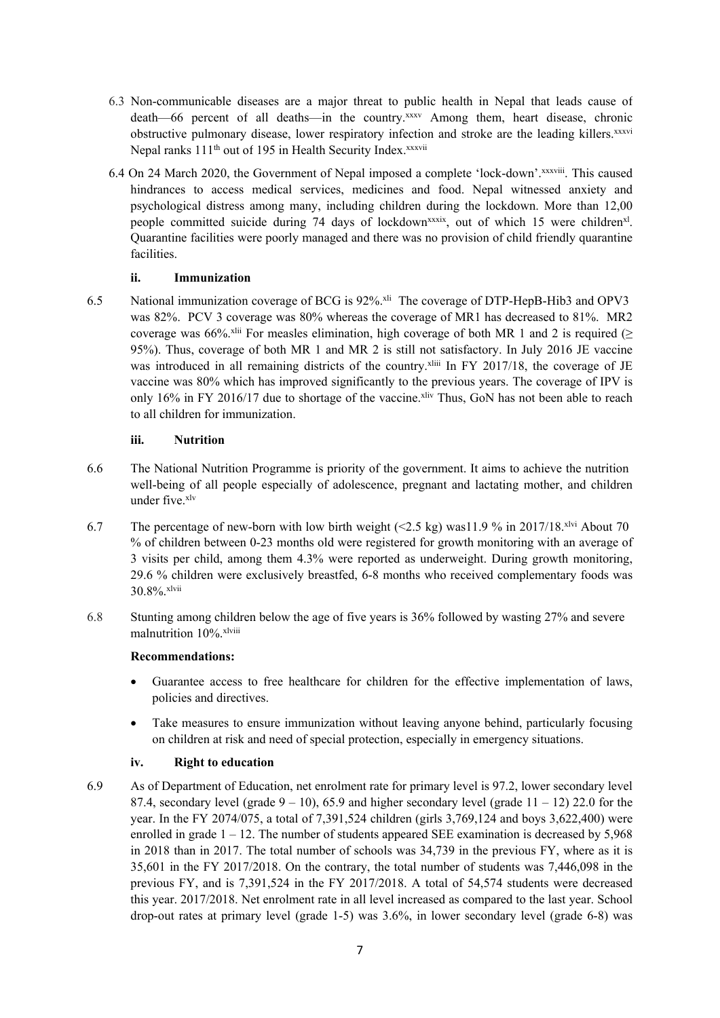- 6.3 Non-communicable diseases are <sup>a</sup> major threat to public health in Nepal that leads cause of death—66 percen<sup>t</sup> of all deaths—in the country. xxxv Among them, heart disease, chronic obstructive pulmonary disease, lower respiratory infection and stroke are the leading killers.<sup>xxxvi</sup> Nepal ranks 111<sup>th</sup> out of 195 in Health Security Index.<sup>xxxvii</sup>
- 6.4 On 24 March 2020, the Government of Nepal imposed a complete 'lock-down'. XXXViii. This caused hindrances to access medical services, medicines and food. Nepal witnessed anxiety and psychological distress among many, including children during the lockdown. More than 12,00 people committed suicide during 74 days of lockdown<sup>xxxix</sup>, out of which 15 were children<sup>xl</sup>. Quarantine facilities were poorly managed and there was no provision of child friendly quarantine facilities.

# **ii. Immunization**

6.5 National immunization coverage of BCG is 92%. xli The coverage of DTP-HepB-Hib3 and OPV3 was 82%. PCV 3 coverage was 80% whereas the coverage of MR1 has decreased to 81%. MR2 coverage was 66%.<sup>xlii</sup> For measles elimination, high coverage of both MR 1 and 2 is required ( $\geq$ 95%). Thus, coverage of both MR 1 and MR 2 is still not satisfactory. In July 2016 JE vaccine was introduced in all remaining districts of the country.<sup>xliii</sup> In FY 2017/18, the coverage of JE vaccine was 80% which has improved significantly to the previous years. The coverage of IPV is only 16% in FY 2016/17 due to shortage of the vaccine.<sup>xliv</sup> Thus, GoN has not been able to reach to all children for immunization.

# **iii. Nutrition**

- 6.6 The National Nutrition Programme is priority of the government. It aims to achieve the nutrition well-being of all people especially of adolescence, pregnan<sup>t</sup> and lactating mother, and children under five. xlv
- 6.7 The percentage of new-born with low birth weight  $\ll$  2.5 kg) was11.9 % in 2017/18.<sup>xlvi</sup> About 70 % of children between 0-23 months old were registered for growth monitoring with an average of 3 visits per child, among them 4.3% were reported as underweight. During growth monitoring, 29.6 % children were exclusively breastfed, 6-8 months who received complementary foods was 30.8%. xlvii
- 6.8 Stunting among children below the age of five years is 36% followed by wasting 27% and severe malnutrition 10%.<sup>xlviii</sup>

# **Recommendations:**

- 0 Guarantee access to free healthcare for children for the effective implementation of laws, policies and directives.
- 0 Take measures to ensure immunization without leaving anyone behind, particularly focusing on children at risk and need of special protection, especially in emergency situations.

# **iv. Right to education**

6.9 As of Department of Education, net enrolment rate for primary level is 97.2, lower secondary level 87.4, secondary level (grade  $9 - 10$ ), 65.9 and higher secondary level (grade  $11 - 12$ ) 22.0 for the year. In the FY 2074/075, <sup>a</sup> total of 7,391,524 children (girls 3,769,124 and boys 3,622,400) were enrolled in grade  $1 - 12$ . The number of students appeared SEE examination is decreased by 5,968 in 2018 than in 2017. The total number of schools was 34,739 in the previous FY, where as it is 35,601 in the FY 2017/2018. On the contrary, the total number of students was 7,446,098 in the previous FY, and is 7,391,524 in the FY 2017/2018. A total of 54,574 students were decreased this year. 2017/2018. Net enrolment rate in all level increased as compared to the last year. School drop-out rates at primary level (grade 1-5) was 3.6%, in lower secondary level (grade 6-8) was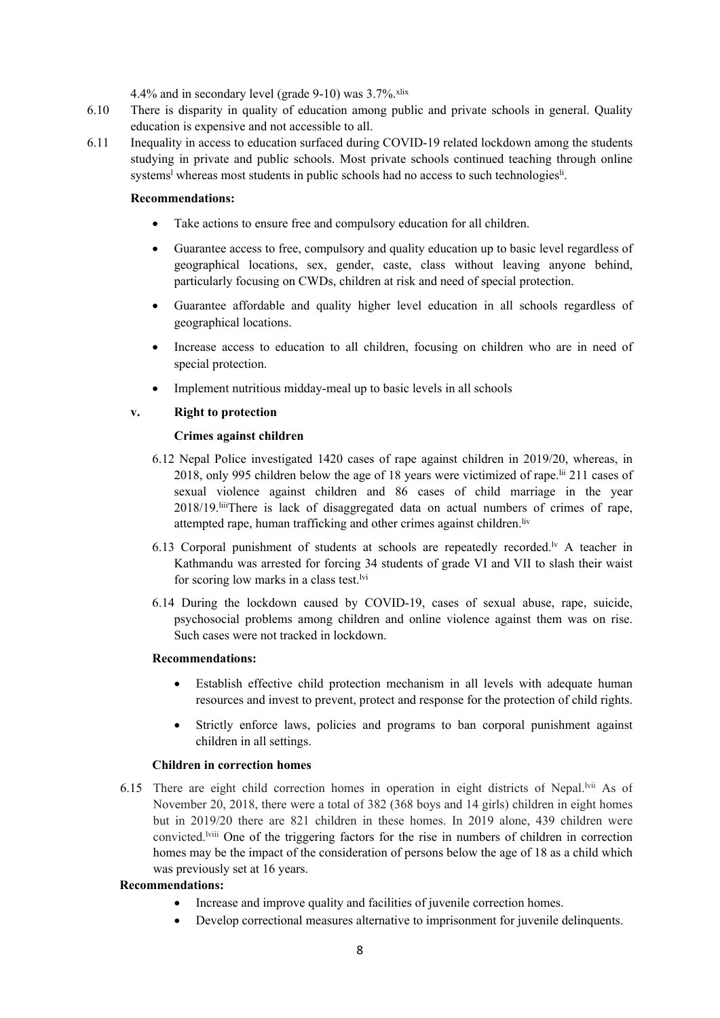4.4% and in secondary level (grade 9-10) was 3.7%. xlix

- 6.10 There is disparity in quality of education among public and private schools in general. Quality education is expensive and not accessible to all.
- 6.11 Inequality in access to education surfaced during COVID-19 related lockdown among the students studying in private and public schools. Most private schools continued teaching through online systems<sup>1</sup> whereas most students in public schools had no access to such technologies<sup>li</sup>

### **Recommendations:**

- 0 Take actions to ensure free and compulsory education for all children.
- 0 Guarantee access to free, compulsory and quality education up to basic level regardless of geographical locations, sex, gender, caste, class without leaving anyone behind, particularly focusing on CWDs, children at risk and need of special protection.
- 0 Guarantee affordable and quality higher level education in all schools regardless of geographical locations.
- $\bullet$  Increase access to education to all children, focusing on children who are in need of special protection.
- $\bullet$ Implement nutritious midday-meal up to basic levels in all schools

## **v. Right to protection**

### **Crimes against children**

- 6.12 Nepal Police investigated 1420 cases of rape against children in 2019/20, whereas, in 2018, only 995 children below the age of 18 years were victimized of rape.<sup>Iii</sup> 211 cases of sexual violence against children and 86 cases of child marriage in the year 2018/19. I There is lack of disaggregated data on actual numbers of crimes of rape, attempted rape, human trafficking and other crimes against children.<sup>liv</sup>
- 6.13 Corporal punishment of students at schools are repeatedly recorded.<sup>Iv</sup> A teacher in Kathmandu was arrested for forcing 34 students of grade VI and VII to slash their waist for scoring low marks in a class test.<sup>Ivi</sup>
- 6.14 During the lockdown caused by COVID-19, cases of sexual abuse, rape, suicide, psychosocial problems among children and online violence against them was on rise. Such cases were not tracked in lockdown.

### **Recommendations:**

- 0 Establish effective child protection mechanism in all levels with adequate human resources and invest to prevent, protect and response for the protection of child rights.
- $\bullet$  Strictly enforce laws, policies and programs to ban corporal punishment against children in all settings.

### **Children in correction homes**

6.15 There are eight child correction homes in operation in eight districts of Nepal.<sup>Ivii</sup> As of November 20, 2018, there were <sup>a</sup> total of 382 (368 boys and 14 girls) children in eight homes but in 2019/20 there are 821 children in these homes. In 2019 alone, 439 children were convicted. lviii One of the triggering factors for the rise in numbers of children in correction homes may be the impact of the consideration of persons below the age of 18 as <sup>a</sup> child which was previously set at 16 years.

### **Recommendations:**

- 0 Increase and improve quality and facilities of juvenile correction homes.
- . Develop correctional measures alternative to imprisonment for juvenile delinquents.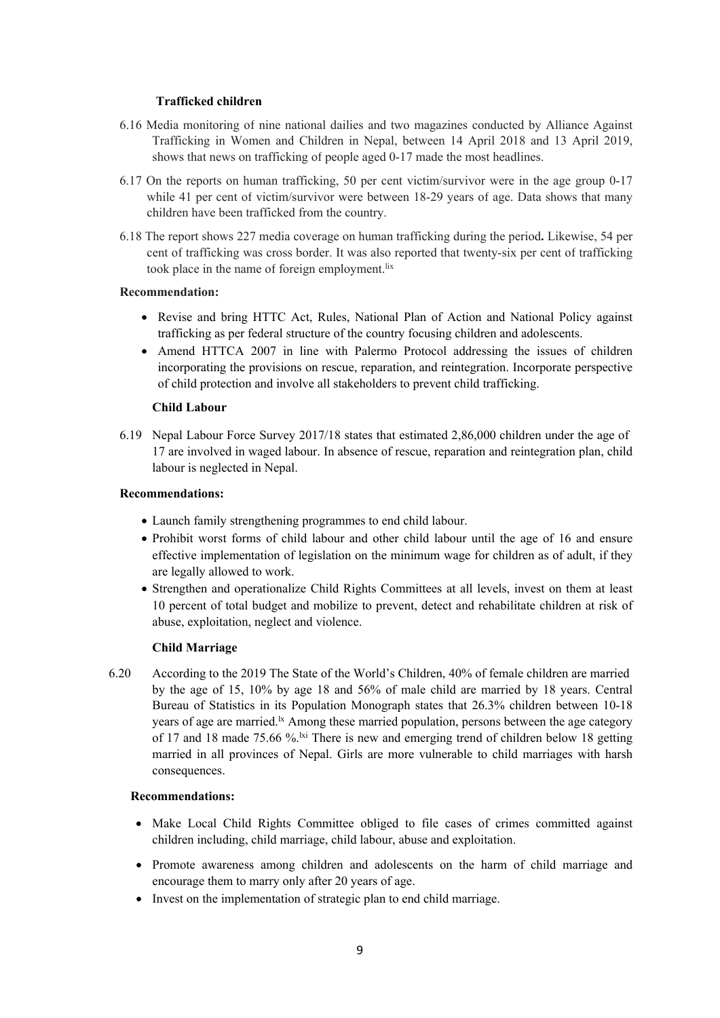## **Trafficked children**

- 6.16 Media monitoring of nine national dailies and two magazines conducted by Alliance Against Trafficking in Women and Children in Nepal, between 14 April 2018 and 13 April 2019, shows that news on trafficking of people aged 0-17 made the most headlines.
- 6.17 On the reports on human trafficking, 50 per cent victim/survivor were in the age group 0-17 while 41 per cent of victim/survivor were between 18-29 years of age. Data shows that many children have been trafficked from the country.
- 6.18 The repor<sup>t</sup> shows 227 media coverage on human trafficking during the period**.** Likewise, 54 per cent of trafficking was cross border. It was also reported that twenty-six per cent of trafficking took place in the name of foreign employment.<sup>lix</sup>

### **Recommendation:**

- Revise and bring HTTC Act, Rules, National Plan of Action and National Policy against trafficking as per federal structure of the country focusing children and adolescents.
- Amend HTTCA 2007 in line with Palermo Protocol addressing the issues of children incorporating the provisions on rescue, reparation, and reintegration. Incorporate perspective of child protection and involve all stakeholders to preven<sup>t</sup> child trafficking.

## **Child Labour**

6.19 Nepal Labour Force Survey 2017/18 states that estimated 2,86,000 children under the age of 17 are involved in waged labour. In absence of rescue, reparation and reintegration plan, child labour is neglected in Nepal.

## **Recommendations:**

- Launch family strengthening programmes to end child labour.
- Prohibit worst forms of child labour and other child labour until the age of 16 and ensure effective implementation of legislation on the minimum wage for children as of adult, if they are legally allowed to work.
- Strengthen and operationalize Child Rights Committees at all levels, invest on them at least 10 percen<sup>t</sup> of total budget and mobilize to prevent, detect and rehabilitate children at risk of abuse, exploitation, neglect and violence.

# **Child Marriage**

6.20 According to the 2019 The State of the World'<sup>s</sup> Children, 40% of female children are married by the age of 15, 10% by age 18 and 56% of male child are married by 18 years. Central Bureau of Statistics in its Population Monograph states that 26.3% children between 10-18 years of age are married.<sup>1x</sup> Among these married population, persons between the age category of 17 and 18 made 75.66 %.<sup>Ixi</sup> There is new and emerging trend of children below 18 getting married in all provinces of Nepal. Girls are more vulnerable to child marriages with harsh consequences.

### **Recommendations:**

- Make Local Child Rights Committee obliged to file cases of crimes committed against children including, child marriage, child labour, abuse and exploitation.
- Promote awareness among children and adolescents on the harm of child marriage and encourage them to marry only after 20 years of age.
- Invest on the implementation of strategic plan to end child marriage.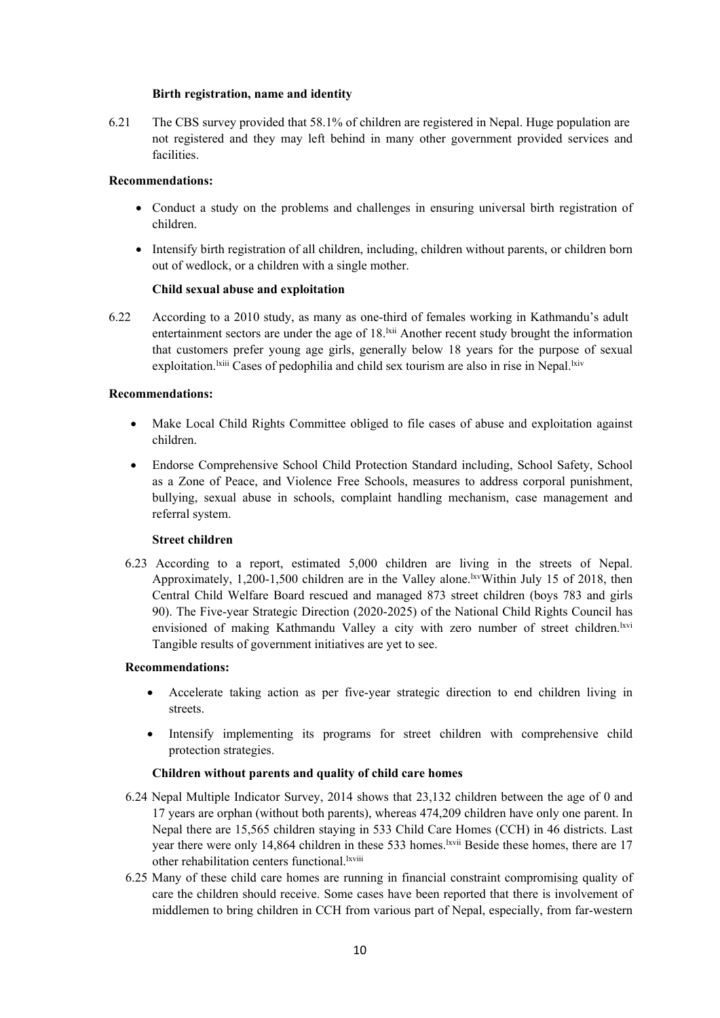## **Birth registration, name and identity**

6.21 The CBS survey provided that 58.1% of children are registered in Nepal. Huge population are not registered and they may left behind in many other governmen<sup>t</sup> provided services and facilities.

# **Recommendations:**

- Conduct <sup>a</sup> study on the problems and challenges in ensuring universal birth registration of children.
- Intensify birth registration of all children, including, children without parents, or children born out of wedlock, or <sup>a</sup> children with <sup>a</sup> single mother.

# **Child sexual abuse and exploitation**

6.22 According to <sup>a</sup> 2010 study, as many as one-third of females working in Kathmandu'<sup>s</sup> adult entertainment sectors are under the age of  $18$ .<sup> $kii$ </sup> Another recent study brought the information that customers prefer young age girls, generally below 18 years for the purpose of sexual exploitation.<sup>Ixiii</sup> Cases of pedophilia and child sex tourism are also in rise in Nepal.<sup>Ixiv</sup>

## **Recommendations:**

- 0 Make Local Child Rights Committee obliged to file cases of abuse and exploitation against children.
- $\bullet$  Endorse Comprehensive School Child Protection Standard including, School Safety, School as <sup>a</sup> Zone of Peace, and Violence Free Schools, measures to address corporal punishment, bullying, sexual abuse in schools, complaint handling mechanism, case managemen<sup>t</sup> and referral system.

### **Street children**

6.23 According to <sup>a</sup> report, estimated 5,000 children are living in the streets of Nepal. Approximately, 1,200-1,500 children are in the Valley alone.<sup>1xv</sup>Within July 15 of 2018, then Central Child Welfare Board rescued and managed 873 street children (boys 783 and girls 90). The Five-year Strategic Direction (2020-2025) of the National Child Rights Council has envisioned of making Kathmandu Valley a city with zero number of street children.<sup>1xvi</sup> Tangible results of governmen<sup>t</sup> initiatives are ye<sup>t</sup> to see.

# **Recommendations:**

- Accelerate taking action as per five-year strategic direction to end children living in streets.
- Intensify implementing its programs for street children with comprehensive child protection strategies.

# **Children without parents and quality of child care homes**

- 6.24 Nepal Multiple Indicator Survey, 2014 shows that 23,132 children between the age of 0 and 17 years are orphan (without both parents), whereas 474,209 children have only one parent. In Nepal there are 15,565 children staying in 533 Child Care Homes (CCH) in 46 districts. Last year there were only 14,864 children in these 533 homes. Evil Beside these homes, there are 17 other rehabilitation centers functional. Ixviii
- 6.25 Many of these child care homes are running in financial constraint compromising quality of care the children should receive. Some cases have been reported that there is involvement of middlemen to bring children in CCH from various par<sup>t</sup> of Nepal, especially, from far-western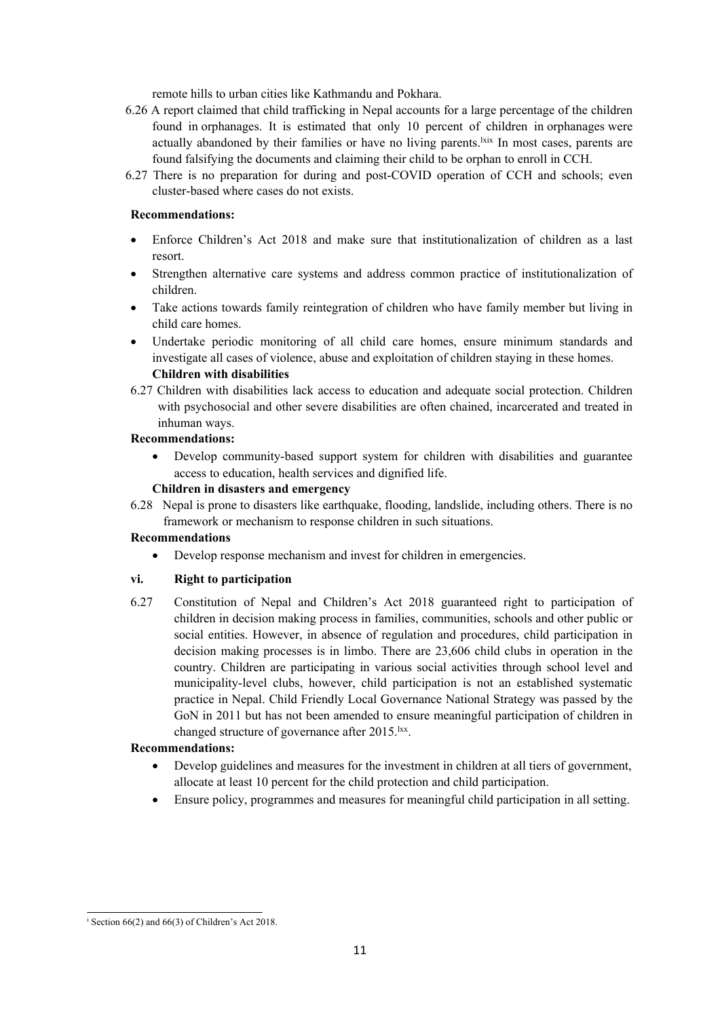remote hills to urban cities like Kathmandu and Pokhara.

- 6.26 A repor<sup>t</sup> claimed that child trafficking in Nepal accounts for <sup>a</sup> large percentage of the children found in orphanages. It is estimated that only 10 percen<sup>t</sup> of children in orphanages were actually abandoned by their families or have no living parents.<sup>1xix</sup> In most cases, parents are found falsifying the documents and claiming their child to be orphan to enroll in CCH.
- 6.27 There is no preparation for during and post-COVID operation of CCH and schools; even cluster-based where cases do not exists.

## **Recommendations:**

- . Enforce Children'<sup>s</sup> Act 2018 and make sure that institutionalization of children as <sup>a</sup> last resort.
- 0 Strengthen alternative care systems and address common practice of institutionalization of children.
- 0 Take actions towards family reintegration of children who have family member but living in child care homes.
- 0 Undertake periodic monitoring of all child care homes, ensure minimum standards and investigate all cases of violence, abuse and exploitation of children staying in these homes. **Children with disabilities**
- 6.27 Children with disabilities lack access to education and adequate social protection. Children with psychosocial and other severe disabilities are often chained, incarcerated and treated in inhuman ways.

## **Recommendations:**

 $\bullet$  Develop community-based suppor<sup>t</sup> system for children with disabilities and guarantee access to education, health services and dignified life.

## **Children in disasters and emergency**

6.28 Nepal is prone to disasters like earthquake, flooding, landslide, including others. There is no framework or mechanism to response children in such situations.

# **Recommendations**

0 Develop response mechanism and invest for children in emergencies.

# **vi. Right to participation**

6.27 Constitution of Nepal and Children'<sup>s</sup> Act 2018 guaranteed right to participation of children in decision making process in families, communities, schools and other public or social entities. However, in absence of regulation and procedures, child participation in decision making processes is in limbo. There are 23,606 child clubs in operation in the country. Children are participating in various social activities through school level and municipality-level clubs, however, child participation is not an established systematic practice in Nepal. Child Friendly Local Governance National Strategy was passed by the GoN in 2011 but has not been amended to ensure meaningful participation of children in changed structure of governance after 2015.<sup>lxx</sup>.

# **Recommendations:**

- 0 Develop guidelines and measures for the investment in children at all tiers of government, allocate at least 10 percen<sup>t</sup> for the child protection and child participation.
- 0 Ensure policy, programmes and measures for meaningful child participation in all setting.

i Section 66(2) and 66(3) of Children'<sup>s</sup> Act 2018.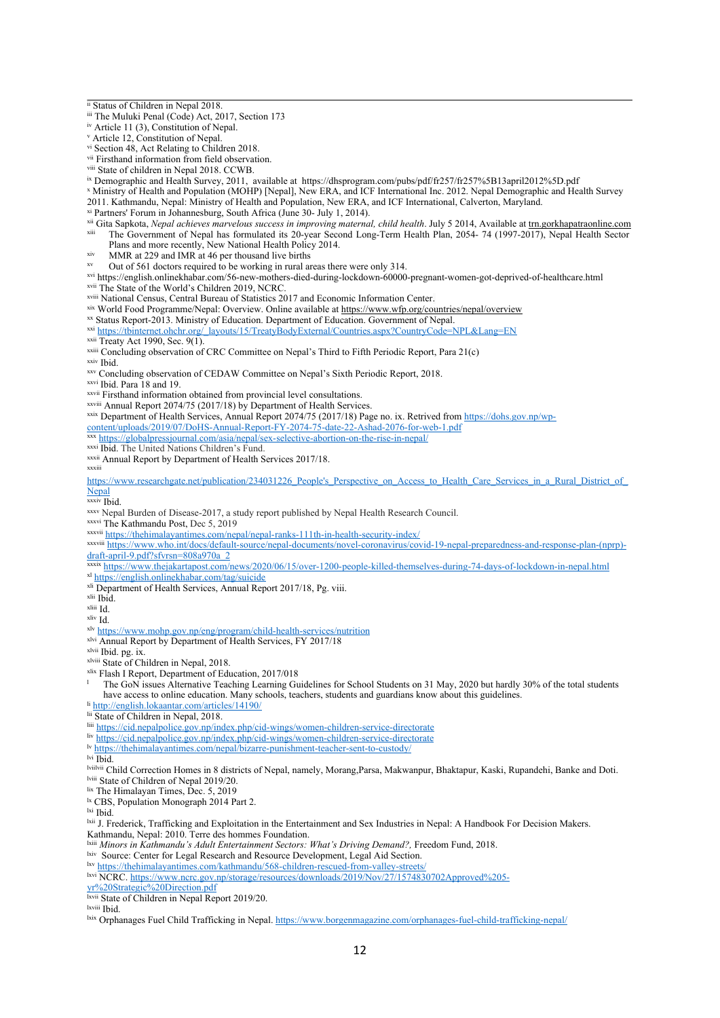- iii The Muluki Penal (Code) Act, 2017, Section 173
- iv Article <sup>11</sup> (3), Constitution of Nepal.
- <sup>v</sup> Article 12, Constitution of Nepal.

vi Section 48, Act Relating to Children 2018.

<sup>vii</sup> Firsthand information from field observation.

ix Demographic and Health Survey, 2011, available at https://dhsprogram.com/pubs/pdf/fr257/fr257%5B13april2012%5D.pdf

<sup>x</sup> Ministry of Health and Population (MOHP) [Nepal], New ERA, and ICF International Inc. 2012. Nepal Demographic and Health Survey 2011. Kathmandu, Nepal: Ministry of Health and Population, New ERA, and ICF International, Calverton, Maryland.

xi Partners' Forum in Johannesburg, South Africa (June 30- July 1, 2014).

xii Gita Sapkota, *Nepal achieves marvelous success in improving maternal, child health*. July <sup>5</sup> 2014, Available at trn.gorkhapatraonline.com xiii The Government of Nepal has formulated its 20-year Second Long-Term Health Plan, 2054- 74 (1997-2017), Nepal Health Sector

- Plans and more recently, New National Health Policy 2014.
- xiv MMR at 229 and IMR at 46 per thousand live births
- Out of 561 doctors required to be working in rural areas there were only 314.

xvi <https://english.onlinekhabar.com/56-new-mothers-died-during-lockdown-60000-pregnant-women-got-deprived-of-healthcare.html> xvii The State of the World'<sup>s</sup> Children 2019, NCRC.

xviii National Census, Central Bureau of Statistics 2017 and Economic Information Center.

xix World Food Programme/Nepal: Overview. Online available at https://www.wfp.org/countries/nepal/overview

<sup>xx</sup> Status Report-2013. Ministry of Education. Department of Education. Government of Nepal.<br><sup>xxi</sup> [https://tbinternet.ohchr.org/\\_layouts/15/TreatyBodyExternal/Countries.aspx?CountryCode=NPL&Lang=EN](https://tbinternet.ohchr.org/_layouts/15/TreatyBodyExternal/Countries.aspx?CountryCode=NPL&Lang=EN)

xxiii Concluding observation of CRC Committee on Nepal'<sup>s</sup> Third to Fifth Periodic Report, Para 21(c)

xxiv Ibid.

xxv Concluding observation of CEDAW Committee on Nepal'<sup>s</sup> Sixth Periodic Report, 2018.

xxvi Ibid. Para 18 and 19.

xxvii Firsthand information obtained from provincial level consultations.

xxviii Annual Report 2074/75 (2017/18) by Department of Health Services.

xxix Department of Health Services, Annual Report 2074/75 (2017/18) Page no. ix. Retrived from [https://dohs.gov.np/wp-](https://dohs.gov.np/wp-content/uploads/2019/07/DoHS-Annual-Report-FY-2074-75-date-22-Ashad-2076-for-web-1.pdf)

[content/uploads/2019/07/DoHS-Annual-Report-FY-2074-75-date-22-Ashad-2076-for-web-1.pdf](https://dohs.gov.np/wp-content/uploads/2019/07/DoHS-Annual-Report-FY-2074-75-date-22-Ashad-2076-for-web-1.pdf)

xxx <https://globalpressjournal.com/asia/nepal/sex-selective-abortion-on-the-rise-in-nepal/>

xxxi Ibid. The United Nations Children'<sup>s</sup> Fund.

xxxii Annual Report by Department of Health Services 2017/18.

xxxiii

[https://www.researchgate.net/publication/234031226\\_People's\\_Perspective\\_on\\_Access\\_to\\_Health\\_Care\\_Services\\_in\\_a\\_Rural\\_District\\_of\\_](https://www.researchgate.net/publication/234031226_People) [Nepal](https://www.researchgate.net/publication/234031226_People)

xxxiv Ibid.

xxxv Nepal Burden of Disease-2017, <sup>a</sup> study repor<sup>t</sup> published by Nepal Health Research Council.

xxxvi The Kathmandu Post, Dec 5, 2019

xxxvii <https://thehimalayantimes.com/nepal/nepal-ranks-111th-in-health-security-index/>

xxxviii [https://www.who.int/docs/default-source/nepal-documents/novel-coronavirus/covid-19-nepal-preparedness-and-response-plan-\(nprp\)](https://www.who.int/docs/default-source/nepal-documents/novel-coronavirus/covid-19-nepal-preparedness-and-response-plan-(nprp)-draft-april-9.pdf?sfvrsn=808a970a_2) [draft-april-9.pdf?sfvrsn=808a970a\\_2](https://www.who.int/docs/default-source/nepal-documents/novel-coronavirus/covid-19-nepal-preparedness-and-response-plan-(nprp)-draft-april-9.pdf?sfvrsn=808a970a_2)

xxxix <https://www.thejakartapost.com/news/2020/06/15/over-1200-people-killed-themselves-during-74-days-of-lockdown-in-nepal.html> xl <https://english.onlinekhabar.com/tag/suicide>

- <sup>xli</sup> Department of Health Services, Annual Report 2017/18, Pg. viii.
- xlii Ibid.

xliii Id.

xliv Id.

xlvi Annual Report by Department of Health Services, FY 2017/18

xlvii Ibid. pg. ix.

xlix Flash I Report, Department of Education, 2017/018

l The GoN issues Alternative Teaching Learning Guidelines for School Students on 31 May, 2020 but hardly 30% of the total students have access to online education. Many schools, teachers, students and guardians know about this guidelines. li <http://english.lokaantar.com/articles/14190/>

<sup>lii</sup> State of Children in Nepal, 2018.

liii <https://cid.nepalpolice.gov.np/index.php/cid-wings/women-children-service-directorate>

liv <https://cid.nepalpolice.gov.np/index.php/cid-wings/women-children-service-directorate>

<sup>lv</sup> <https://thehimalayantimes.com/nepal/bizarre-punishment-teacher-sent-to-custody/>

lvi Ibid.

lviilvii Child Correction Homes in 8 districts of Nepal, namely, Morang,Parsa, Makwanpur, Bhaktapur, Kaski, Rupandehi, Banke and Doti. lviii State of Children of Nepal 2019/20.

<sup>lix</sup> The Himalayan Times, Dec. 5, 2019

<sup>1x</sup> CBS, Population Monograph 2014 Part 2.

<sup>lxi</sup> Ibid.

<sup>1xii</sup> J. Frederick, Trafficking and Exploitation in the Entertainment and Sex Industries in Nepal: A Handbook For Decision Makers

Kathmandu, Nepal: 2010. Terre des hommes Foundation.

lxiii *Minors in Kathmandu'<sup>s</sup> Adult Entertainment Sectors: What'<sup>s</sup> Driving Demand?,* Freedom Fund, 2018.

<sup>1xiv</sup> Source: Center for Legal Research and Resource Development, Legal Aid Section.

<sup>lxv</sup> <https://thehimalayantimes.com/kathmandu/568-children-rescued-from-valley-streets/>

lxvi NCRC. [https://www.ncrc.gov.np/storage/resources/downloads/2019/Nov/27/1574830702Approved%205-](https://www.ncrc.gov.np/storage/resources/downloads/2019/Nov/27/1574830702Approved%205-yr%20Strategic%20Direction.pdf)

<sup>lxviii</sup> Ibid.

lxix Orphanages Fuel Child Trafficking in Nepal. <https://www.borgenmagazine.com/orphanages-fuel-child-trafficking-nepal/>

ii Status of Children in Nepal 2018.

viii State of children in Nepal 2018. CCWB.

<sup>&</sup>lt;sup>xxii</sup> Treaty Act 1990, Sec. 9(1).

xlv <https://www.mohp.gov.np/eng/program/child-health-services/nutrition>

xlviii State of Children in Nepal, 2018.

[yr%20Strategic%20Direction.pdf](https://www.ncrc.gov.np/storage/resources/downloads/2019/Nov/27/1574830702Approved%205-yr%20Strategic%20Direction.pdf) lxvii State of Children in Nepal Report 2019/20.